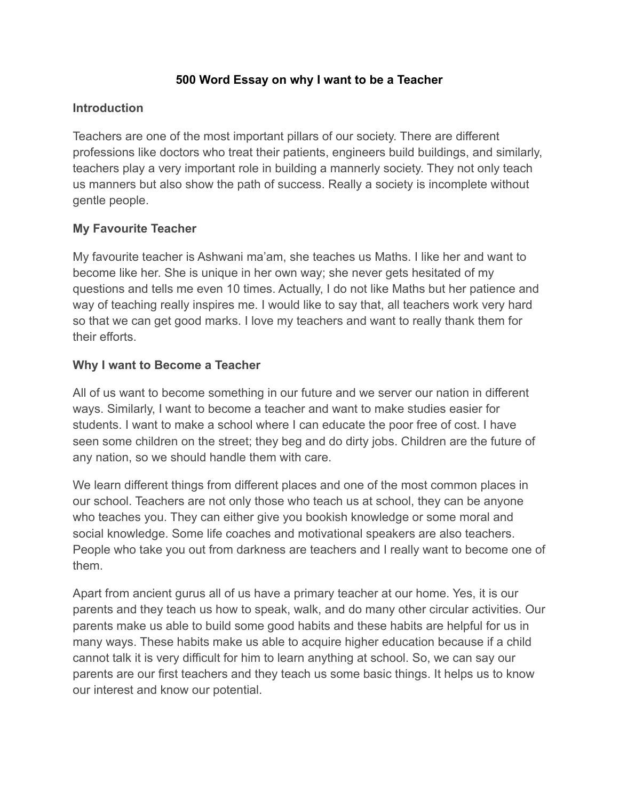## **500 Word Essay on why I want to be a Teacher**

### **Introduction**

Teachers are one of the most important pillars of our society. There are different professions like doctors who treat their patients, engineers build buildings, and similarly, teachers play a very important role in building a mannerly society. They not only teach us manners but also show the path of success. Really a society is incomplete without gentle people.

## **My Favourite Teacher**

My favourite teacher is Ashwani ma'am, she teaches us Maths. I like her and want to become like her. She is unique in her own way; she never gets hesitated of my questions and tells me even 10 times. Actually, I do not like Maths but her patience and way of teaching really inspires me. I would like to say that, all teachers work very hard so that we can get good marks. I love my teachers and want to really thank them for their efforts.

#### **Why I want to Become a Teacher**

All of us want to become something in our future and we server our nation in different ways. Similarly, I want to become a teacher and want to make studies easier for students. I want to make a school where I can educate the poor free of cost. I have seen some children on the street; they beg and do dirty jobs. Children are the future of any nation, so we should handle them with care.

We learn different things from different places and one of the most common places in our school. Teachers are not only those who teach us at school, they can be anyone who teaches you. They can either give you bookish knowledge or some moral and social knowledge. Some life coaches and motivational speakers are also teachers. People who take you out from darkness are teachers and I really want to become one of them.

Apart from ancient gurus all of us have a primary teacher at our home. Yes, it is our parents and they teach us how to speak, walk, and do many other circular activities. Our parents make us able to build some good habits and these habits are helpful for us in many ways. These habits make us able to acquire higher education because if a child cannot talk it is very difficult for him to learn anything at school. So, we can say our parents are our first teachers and they teach us some basic things. It helps us to know our interest and know our potential.